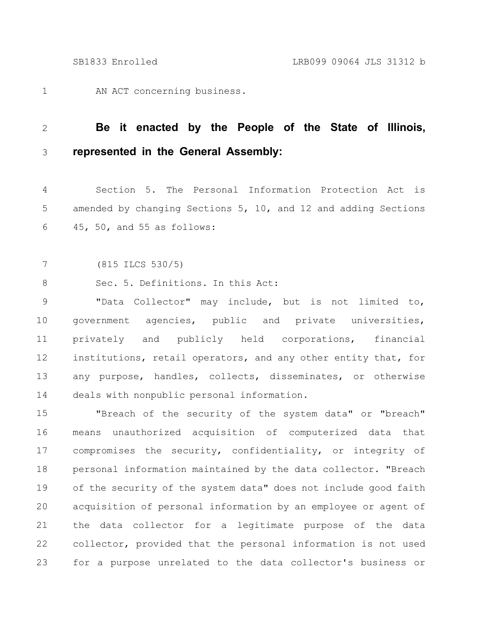AN ACT concerning business. 1

## **Be it enacted by the People of the State of Illinois, represented in the General Assembly:** 2 3

Section 5. The Personal Information Protection Act is amended by changing Sections 5, 10, and 12 and adding Sections 45, 50, and 55 as follows: 4 5 6

(815 ILCS 530/5) 7

Sec. 5. Definitions. In this Act: 8

"Data Collector" may include, but is not limited to, government agencies, public and private universities, privately and publicly held corporations, financial institutions, retail operators, and any other entity that, for any purpose, handles, collects, disseminates, or otherwise deals with nonpublic personal information. 9 10 11 12 13 14

"Breach of the security of the system data" or "breach" means unauthorized acquisition of computerized data that compromises the security, confidentiality, or integrity of personal information maintained by the data collector. "Breach of the security of the system data" does not include good faith acquisition of personal information by an employee or agent of the data collector for a legitimate purpose of the data collector, provided that the personal information is not used for a purpose unrelated to the data collector's business or 15 16 17 18 19 20 21 22 23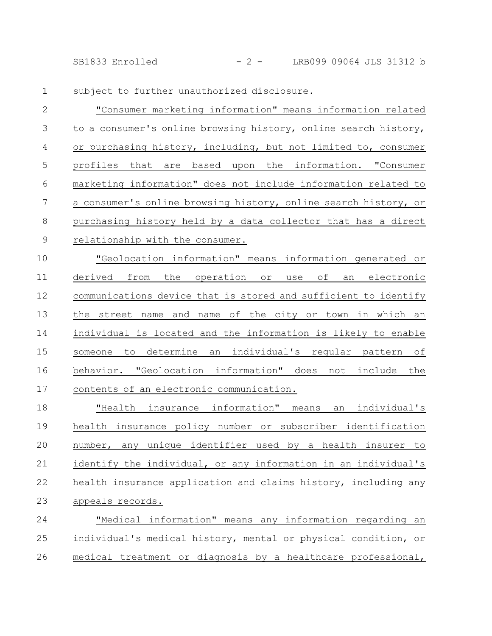SB1833 Enrolled - 2 - LRB099 09064 JLS 31312 b

subject to further unauthorized disclosure. 1

"Consumer marketing information" means information related to a consumer's online browsing history, online search history, or purchasing history, including, but not limited to, consumer profiles that are based upon the information. "Consumer marketing information" does not include information related to a consumer's online browsing history, online search history, or purchasing history held by a data collector that has a direct relationship with the consumer. 2 3 4 5 6 7 8 9

"Geolocation information" means information generated or derived from the operation or use of an electronic communications device that is stored and sufficient to identify the street name and name of the city or town in which an individual is located and the information is likely to enable someone to determine an individual's regular pattern of behavior. "Geolocation information" does not include the contents of an electronic communication. 10 11 12 13 14 15 16 17

"Health insurance information" means an individual's health insurance policy number or subscriber identification number, any unique identifier used by a health insurer to identify the individual, or any information in an individual's health insurance application and claims history, including any appeals records. 18 19 20 21 22 23

"Medical information" means any information regarding an individual's medical history, mental or physical condition, or medical treatment or diagnosis by a healthcare professional, 24 25 26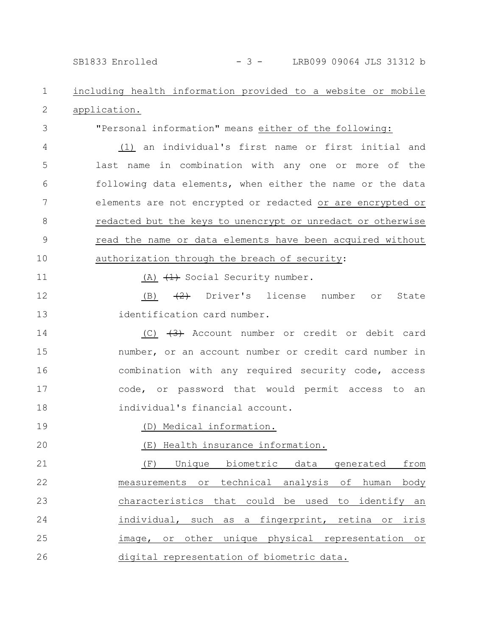# SB1833 Enrolled - 3 - LRB099 09064 JLS 31312 b

#### including health information provided to a website or mobile application. 1 2

"Personal information" means either of the following:

(1) an individual's first name or first initial and last name in combination with any one or more of the following data elements, when either the name or the data elements are not encrypted or redacted or are encrypted or redacted but the keys to unencrypt or unredact or otherwise read the name or data elements have been acquired without authorization through the breach of security: 4 5 6 7 8 9 10

11

20

3

(A)  $(1)$  Social Security number.

(B)  $\left( \frac{2}{2} \right)$  Driver's license number or State identification card number. 12 13

 $(C)$   $\leftrightarrow$  Account number or credit or debit card number, or an account number or credit card number in combination with any required security code, access code, or password that would permit access to an individual's financial account. 14 15 16 17 18

(D) Medical information. 19

(E) Health insurance information.

(F) Unique biometric data generated from measurements or technical analysis of human body characteristics that could be used to identify an individual, such as a fingerprint, retina or iris image, or other unique physical representation or digital representation of biometric data. 21 22 23 24 25 26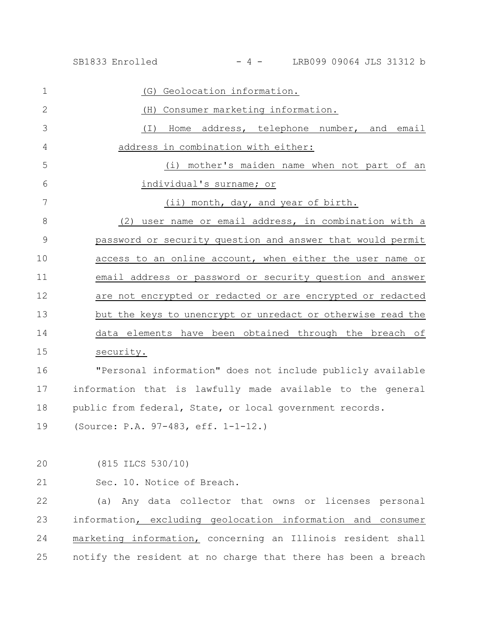(G) Geolocation information. (H) Consumer marketing information. (I) Home address, telephone number, and email address in combination with either: (i) mother's maiden name when not part of an individual's surname; or (ii) month, day, and year of birth. (2) user name or email address, in combination with a password or security question and answer that would permit access to an online account, when either the user name or email address or password or security question and answer are not encrypted or redacted or are encrypted or redacted but the keys to unencrypt or unredact or otherwise read the data elements have been obtained through the breach of security. "Personal information" does not include publicly available information that is lawfully made available to the general public from federal, State, or local government records. (Source: P.A. 97-483, eff. 1-1-12.) (815 ILCS 530/10) Sec. 10. Notice of Breach. (a) Any data collector that owns or licenses personal information, excluding geolocation information and consumer marketing information, concerning an Illinois resident shall 1 2 3 4 5 6 7 8 9 10 11 12 13 14 15 16 17 18 19 20 21 22 23 24

notify the resident at no charge that there has been a breach 25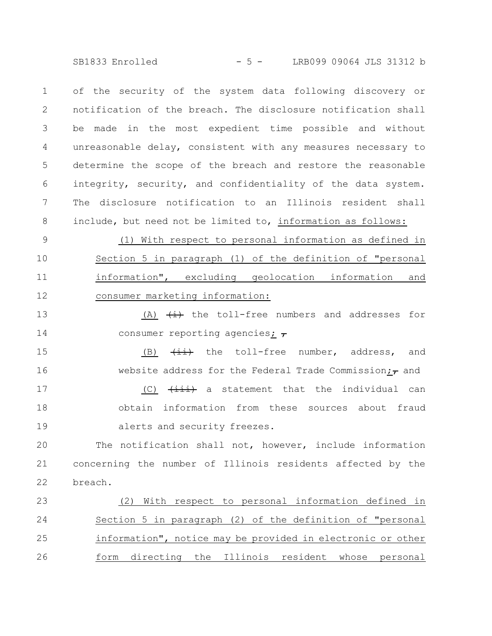SB1833 Enrolled - 5 - LRB099 09064 JLS 31312 b

of the security of the system data following discovery or notification of the breach. The disclosure notification shall be made in the most expedient time possible and without unreasonable delay, consistent with any measures necessary to determine the scope of the breach and restore the reasonable integrity, security, and confidentiality of the data system. The disclosure notification to an Illinois resident shall include, but need not be limited to, information as follows: 1 2 3 4 5 6 7 8

(1) With respect to personal information as defined in Section 5 in paragraph (1) of the definition of "personal information", excluding geolocation information and consumer marketing information: 9 10 11 12

(A)  $\overleftrightarrow{t}$  the toll-free numbers and addresses for consumer reporting agencies;  $\tau$ 13 14

(B)  $\overrightarrow{4i}$  the toll-free number, address, and website address for the Federal Trade Commission; $_{\tau}$  and  $(C)$   $\overrightarrow{$  tiii) a statement that the individual can obtain information from these sources about fraud 15 16 17 18

alerts and security freezes. 19

The notification shall not, however, include information concerning the number of Illinois residents affected by the breach. 20 21 22

(2) With respect to personal information defined in Section 5 in paragraph (2) of the definition of "personal information", notice may be provided in electronic or other form directing the Illinois resident whose personal 23 24 25 26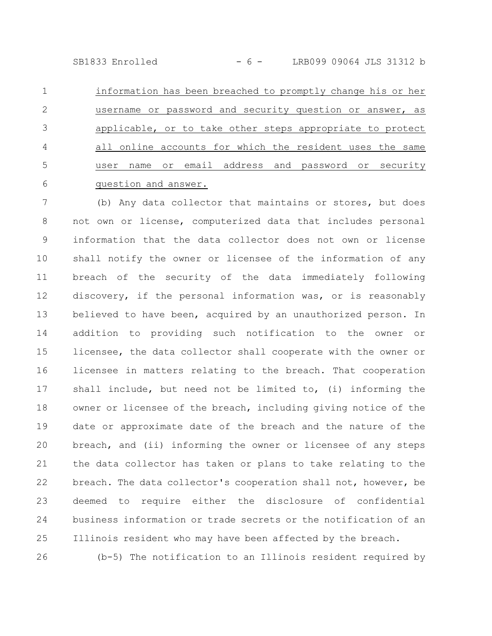SB1833 Enrolled - 6 - LRB099 09064 JLS 31312 b

information has been breached to promptly change his or her username or password and security question or answer, as applicable, or to take other steps appropriate to protect all online accounts for which the resident uses the same user name or email address and password or security question and answer. 1 2 3 4 5 6

(b) Any data collector that maintains or stores, but does not own or license, computerized data that includes personal information that the data collector does not own or license shall notify the owner or licensee of the information of any breach of the security of the data immediately following discovery, if the personal information was, or is reasonably believed to have been, acquired by an unauthorized person. In addition to providing such notification to the owner or licensee, the data collector shall cooperate with the owner or licensee in matters relating to the breach. That cooperation shall include, but need not be limited to, (i) informing the owner or licensee of the breach, including giving notice of the date or approximate date of the breach and the nature of the breach, and (ii) informing the owner or licensee of any steps the data collector has taken or plans to take relating to the breach. The data collector's cooperation shall not, however, be deemed to require either the disclosure of confidential business information or trade secrets or the notification of an Illinois resident who may have been affected by the breach. 7 8 9 10 11 12 13 14 15 16 17 18 19 20 21 22 23 24 25

(b-5) The notification to an Illinois resident required by

26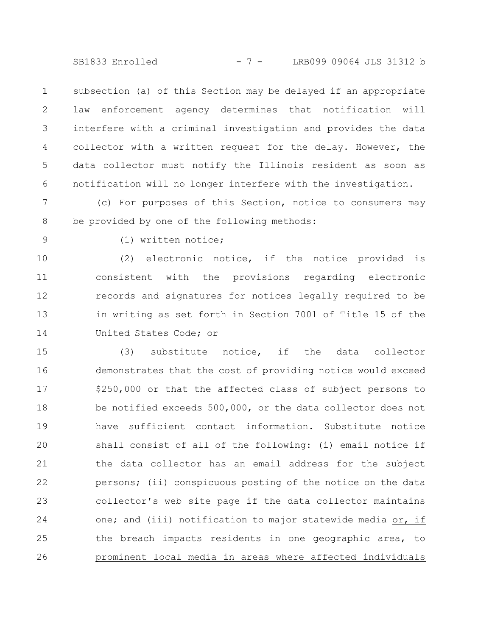SB1833 Enrolled - 7 - LRB099 09064 JLS 31312 b

subsection (a) of this Section may be delayed if an appropriate law enforcement agency determines that notification will interfere with a criminal investigation and provides the data collector with a written request for the delay. However, the data collector must notify the Illinois resident as soon as notification will no longer interfere with the investigation. 1 2 3 4 5 6

(c) For purposes of this Section, notice to consumers may be provided by one of the following methods: 7 8

9

(1) written notice;

(2) electronic notice, if the notice provided is consistent with the provisions regarding electronic records and signatures for notices legally required to be in writing as set forth in Section 7001 of Title 15 of the United States Code; or 10 11 12 13 14

(3) substitute notice, if the data collector demonstrates that the cost of providing notice would exceed \$250,000 or that the affected class of subject persons to be notified exceeds 500,000, or the data collector does not have sufficient contact information. Substitute notice shall consist of all of the following: (i) email notice if the data collector has an email address for the subject persons; (ii) conspicuous posting of the notice on the data collector's web site page if the data collector maintains one; and (iii) notification to major statewide media or, if the breach impacts residents in one geographic area, to prominent local media in areas where affected individuals 15 16 17 18 19 20 21 22 23 24 25 26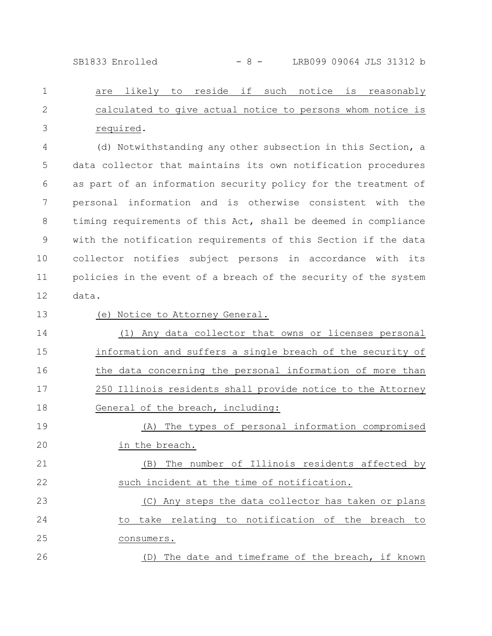are likely to reside if such notice is reasonably calculated to give actual notice to persons whom notice is required. 1 2 3

(d) Notwithstanding any other subsection in this Section, a data collector that maintains its own notification procedures as part of an information security policy for the treatment of personal information and is otherwise consistent with the timing requirements of this Act, shall be deemed in compliance with the notification requirements of this Section if the data collector notifies subject persons in accordance with its policies in the event of a breach of the security of the system data. 4 5 6 7 8 9 10 11 12

13

# (e) Notice to Attorney General.

(1) Any data collector that owns or licenses personal information and suffers a single breach of the security of the data concerning the personal information of more than 250 Illinois residents shall provide notice to the Attorney General of the breach, including: 14 15 16 17 18

(A) The types of personal information compromised in the breach. 19 20

(B) The number of Illinois residents affected by such incident at the time of notification. 21 22

(C) Any steps the data collector has taken or plans to take relating to notification of the breach to consumers. 23 24 25 26

(D) The date and timeframe of the breach, if known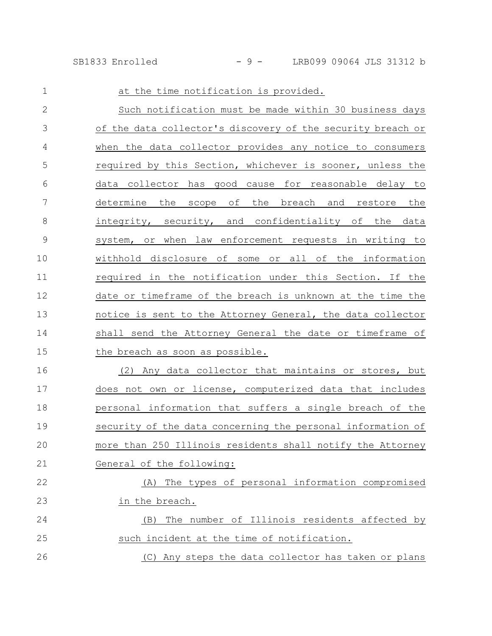| $\mathbf{1}$  | at the time notification is provided.                       |
|---------------|-------------------------------------------------------------|
| $\mathbf{2}$  | Such notification must be made within 30 business days      |
| 3             | of the data collector's discovery of the security breach or |
| 4             | when the data collector provides any notice to consumers    |
| 5             | required by this Section, whichever is sooner, unless the   |
| 6             | data collector has good cause for reasonable delay to       |
| 7             | determine the<br>scope of the breach and restore the        |
| 8             | integrity, security, and confidentiality of the data        |
| $\mathcal{G}$ | system, or when law enforcement requests in writing to      |
| 10            | withhold disclosure of some or all of the information       |
| 11            | required in the notification under this Section. If the     |
| 12            | date or timeframe of the breach is unknown at the time the  |
| 13            | notice is sent to the Attorney General, the data collector  |
| 14            | shall send the Attorney General the date or timeframe of    |
| 15            | the breach as soon as possible.                             |
| 16            | (2)<br>Any data collector that maintains or stores, but     |
| 17            | does not own or license, computerized data that includes    |
| 18            | personal information that suffers a single breach of the    |
| 19            | security of the data concerning the personal information of |
| 20            | more than 250 Illinois residents shall notify the Attorney  |
| 21            | General of the following:                                   |
| 22            | The types of personal information compromised<br>(A)        |
| 23            | in the breach.                                              |
| 24            | The number of Illinois residents affected by<br>(B)         |
| 25            | such incident at the time of notification.                  |
| 26            | (C) Any steps the data collector has taken or plans         |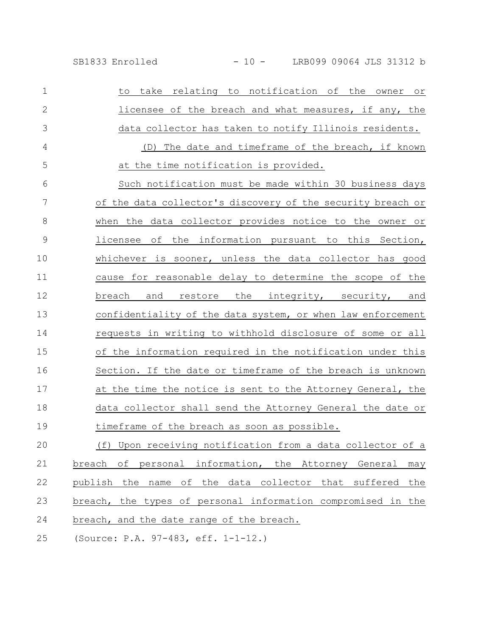| SB1833 Enrolled |
|-----------------|
|                 |

| $\mathbf{1}$  | take relating to notification of the owner<br>to<br>O <sub>T</sub> |
|---------------|--------------------------------------------------------------------|
| $\mathbf{2}$  | licensee of the breach and what measures, if any, the              |
| 3             | data collector has taken to notify Illinois residents.             |
| 4             | (D) The date and timeframe of the breach, if known                 |
| 5             | at the time notification is provided.                              |
| 6             | Such notification must be made within 30 business days             |
| 7             | of the data collector's discovery of the security breach or        |
| 8             | when the data collector provides notice to the owner or            |
| $\mathcal{G}$ | licensee of the information pursuant to this Section,              |
| 10            | whichever is sooner, unless the data collector has good            |
| 11            | cause for reasonable delay to determine the scope of the           |
| 12            | and restore the integrity, security, and<br>breach                 |
| 13            | confidentiality of the data system, or when law enforcement        |
| 14            | requests in writing to withhold disclosure of some or all          |
| 15            | of the information required in the notification under this         |
| 16            | Section. If the date or timeframe of the breach is unknown         |
| 17            | at the time the notice is sent to the Attorney General, the        |
| 18            | data collector shall send the Attorney General the date or         |
| 19            | timeframe of the breach as soon as possible.                       |
| 20            | (f) Upon receiving notification from a data collector of a         |
| 21            | breach of personal information, the Attorney General<br>may        |
| 22            | publish the name of the data collector that suffered<br>the        |
| 23            | breach, the types of personal information compromised in the       |
| 24            | breach, and the date range of the breach.                          |
| 25            | (Source: P.A. 97-483, eff. 1-1-12.)                                |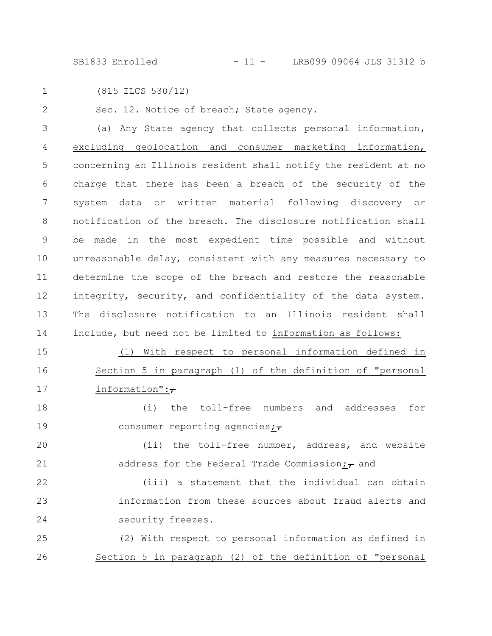SB1833 Enrolled - 11 - LRB099 09064 JLS 31312 b

1

(815 ILCS 530/12)

Sec. 12. Notice of breach; State agency. 2

(a) Any State agency that collects personal information, excluding geolocation and consumer marketing information, concerning an Illinois resident shall notify the resident at no charge that there has been a breach of the security of the system data or written material following discovery or notification of the breach. The disclosure notification shall be made in the most expedient time possible and without unreasonable delay, consistent with any measures necessary to determine the scope of the breach and restore the reasonable integrity, security, and confidentiality of the data system. The disclosure notification to an Illinois resident shall include, but need not be limited to information as follows: 3 4 5 6 7 8 9 10 11 12 13 14

(1) With respect to personal information defined in Section 5 in paragraph (1) of the definition of "personal information": $\tau$ 15 16 17

(i) the toll-free numbers and addresses for consumer reporting agencies; $\overline{z}$ 18 19

(ii) the toll-free number, address, and website address for the Federal Trade Commission; $_{\tau}$  and 20 21

(iii) a statement that the individual can obtain information from these sources about fraud alerts and security freezes. 22 23 24

(2) With respect to personal information as defined in Section 5 in paragraph (2) of the definition of "personal 25 26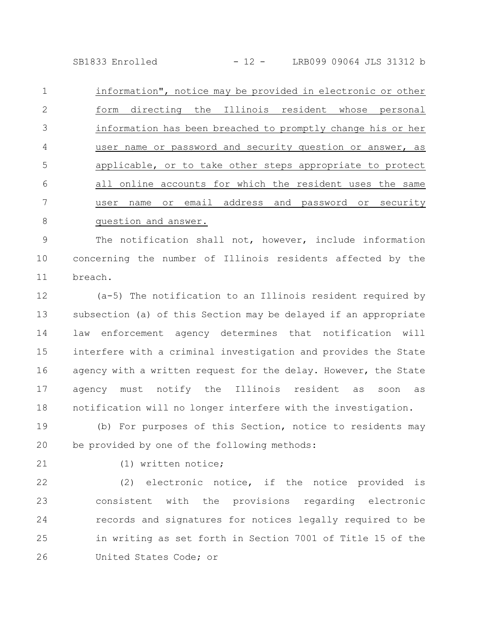SB1833 Enrolled - 12 - LRB099 09064 JLS 31312 b

information", notice may be provided in electronic or other form directing the Illinois resident whose personal information has been breached to promptly change his or her user name or password and security question or answer, as applicable, or to take other steps appropriate to protect all online accounts for which the resident uses the same user name or email address and password or security question and answer. 1 2 3 4 5 6 7 8

The notification shall not, however, include information concerning the number of Illinois residents affected by the breach. 9 10 11

(a-5) The notification to an Illinois resident required by subsection (a) of this Section may be delayed if an appropriate law enforcement agency determines that notification will interfere with a criminal investigation and provides the State agency with a written request for the delay. However, the State agency must notify the Illinois resident as soon as notification will no longer interfere with the investigation. 12 13 14 15 16 17 18

(b) For purposes of this Section, notice to residents may be provided by one of the following methods: 19 20

21

(1) written notice;

(2) electronic notice, if the notice provided is consistent with the provisions regarding electronic records and signatures for notices legally required to be in writing as set forth in Section 7001 of Title 15 of the United States Code; or 22 23 24 25 26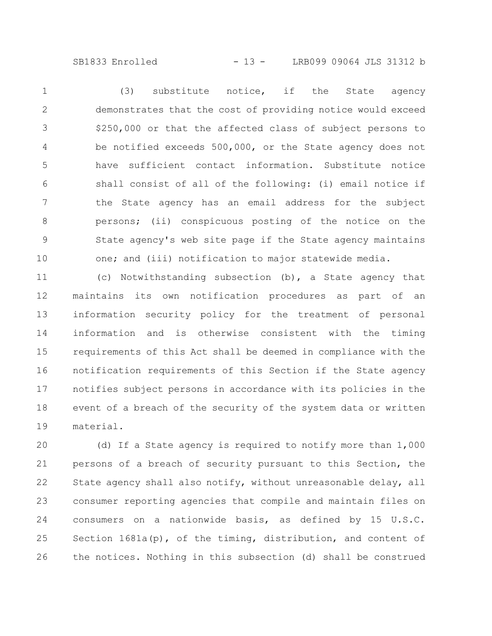SB1833 Enrolled - 13 - LRB099 09064 JLS 31312 b

(3) substitute notice, if the State agency demonstrates that the cost of providing notice would exceed \$250,000 or that the affected class of subject persons to be notified exceeds 500,000, or the State agency does not have sufficient contact information. Substitute notice shall consist of all of the following: (i) email notice if the State agency has an email address for the subject persons; (ii) conspicuous posting of the notice on the State agency's web site page if the State agency maintains one; and (iii) notification to major statewide media. 1 2 3 4 5 6 7 8 9 10

(c) Notwithstanding subsection (b), a State agency that maintains its own notification procedures as part of an information security policy for the treatment of personal information and is otherwise consistent with the timing requirements of this Act shall be deemed in compliance with the notification requirements of this Section if the State agency notifies subject persons in accordance with its policies in the event of a breach of the security of the system data or written material. 11 12 13 14 15 16 17 18 19

(d) If a State agency is required to notify more than 1,000 persons of a breach of security pursuant to this Section, the State agency shall also notify, without unreasonable delay, all consumer reporting agencies that compile and maintain files on consumers on a nationwide basis, as defined by 15 U.S.C. Section  $1681a(p)$ , of the timing, distribution, and content of the notices. Nothing in this subsection (d) shall be construed 20 21 22 23 24 25 26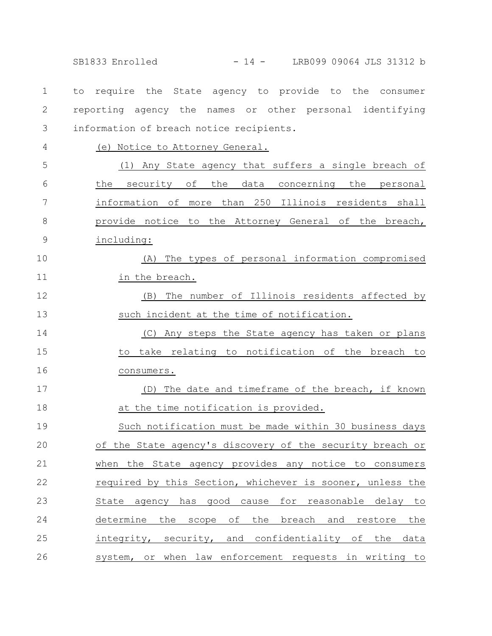SB1833 Enrolled - 14 - LRB099 09064 JLS 31312 b

to require the State agency to provide to the consumer reporting agency the names or other personal identifying information of breach notice recipients. 1 2 3

4

(e) Notice to Attorney General.

(1) Any State agency that suffers a single breach of the security of the data concerning the personal information of more than 250 Illinois residents shall provide notice to the Attorney General of the breach, including: 5 6 7 8 9

(A) The types of personal information compromised in the breach. 10 11

(B) The number of Illinois residents affected by such incident at the time of notification. 12 13

(C) Any steps the State agency has taken or plans to take relating to notification of the breach to consumers. 14 15 16

(D) The date and timeframe of the breach, if known at the time notification is provided. 17 18

Such notification must be made within 30 business days of the State agency's discovery of the security breach or when the State agency provides any notice to consumers required by this Section, whichever is sooner, unless the State agency has good cause for reasonable delay to determine the scope of the breach and restore the integrity, security, and confidentiality of the data system, or when law enforcement requests in writing to 19 20 21 22 23 24 25 26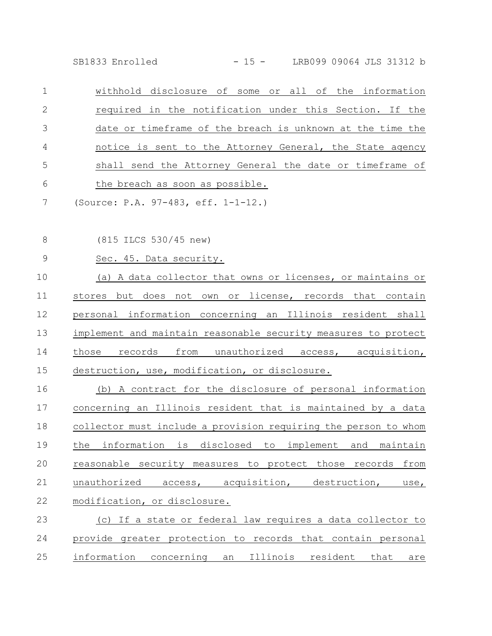SB1833 Enrolled - 15 - LRB099 09064 JLS 31312 b

withhold disclosure of some or all of the information required in the notification under this Section. If the date or timeframe of the breach is unknown at the time the notice is sent to the Attorney General, the State agency shall send the Attorney General the date or timeframe of the breach as soon as possible. 1 2 3 4 5 6

(Source: P.A. 97-483, eff. 1-1-12.) 7

(815 ILCS 530/45 new) 8

Sec. 45. Data security. 9

(a) A data collector that owns or licenses, or maintains or stores but does not own or license, records that contain personal information concerning an Illinois resident shall implement and maintain reasonable security measures to protect those records from unauthorized access, acquisition, destruction, use, modification, or disclosure. 10 11 12 13 14 15

(b) A contract for the disclosure of personal information concerning an Illinois resident that is maintained by a data collector must include a provision requiring the person to whom the information is disclosed to implement and maintain reasonable security measures to protect those records from unauthorized access, acquisition, destruction, use, modification, or disclosure. 16 17 18 19 20 21 22

### (c) If a state or federal law requires a data collector to provide greater protection to records that contain personal information concerning an Illinois resident that are 23 24 25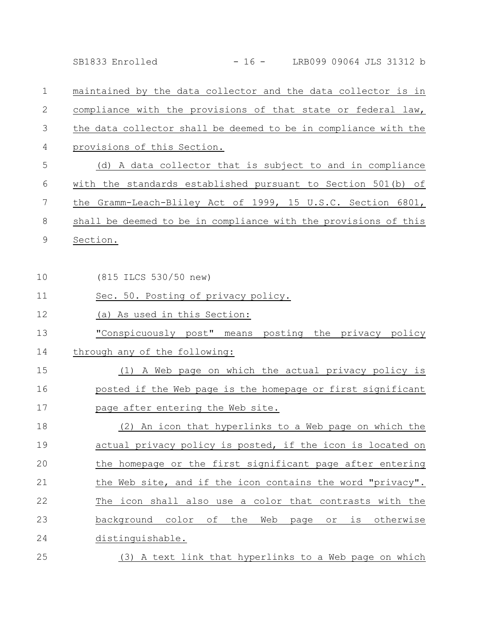maintained by the data collector and the data collector is in compliance with the provisions of that state or federal law, the data collector shall be deemed to be in compliance with the provisions of this Section. (d) A data collector that is subject to and in compliance with the standards established pursuant to Section 501(b) of the Gramm-Leach-Bliley Act of 1999, 15 U.S.C. Section 6801, 1 2 3 4 5 6 7

shall be deemed to be in compliance with the provisions of this 8

Section. 9

(815 ILCS 530/50 new) 10

- Sec. 50. Posting of privacy policy. 11
- (a) As used in this Section: 12
- "Conspicuously post" means posting the privacy policy 13
- through any of the following: 14
- (1) A Web page on which the actual privacy policy is posted if the Web page is the homepage or first significant page after entering the Web site. 15 16 17
- (2) An icon that hyperlinks to a Web page on which the actual privacy policy is posted, if the icon is located on the homepage or the first significant page after entering the Web site, and if the icon contains the word "privacy". The icon shall also use a color that contrasts with the background color of the Web page or is otherwise distinguishable. 18 19 20 21 22 23 24
- (3) A text link that hyperlinks to a Web page on which 25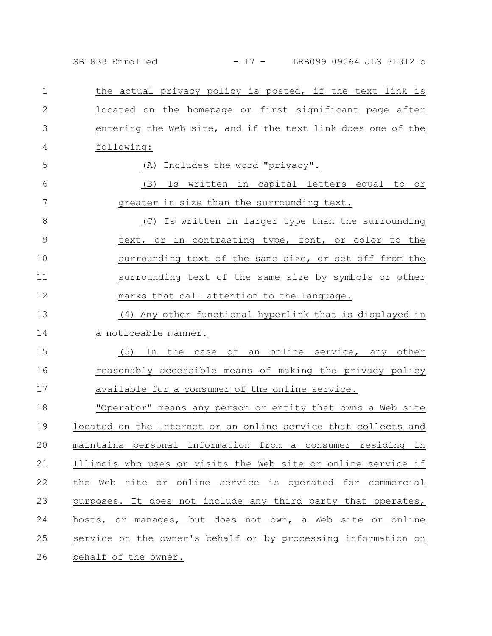SB1833 Enrolled - 17 - LRB099 09064 JLS 31312 b

the actual privacy policy is posted, if the text link is located on the homepage or first significant page after entering the Web site, and if the text link does one of the following: (A) Includes the word "privacy". (B) Is written in capital letters equal to or greater in size than the surrounding text. (C) Is written in larger type than the surrounding text, or in contrasting type, font, or color to the surrounding text of the same size, or set off from the surrounding text of the same size by symbols or other marks that call attention to the language. (4) Any other functional hyperlink that is displayed in a noticeable manner. (5) In the case of an online service, any other reasonably accessible means of making the privacy policy available for a consumer of the online service. "Operator" means any person or entity that owns a Web site located on the Internet or an online service that collects and maintains personal information from a consumer residing in Illinois who uses or visits the Web site or online service if the Web site or online service is operated for commercial purposes. It does not include any third party that operates, hosts, or manages, but does not own, a Web site or online service on the owner's behalf or by processing information on behalf of the owner. 1 2 3 4 5 6 7 8 9 10 11 12 13 14 15 16 17 18 19 20 21 22 23 24 25 26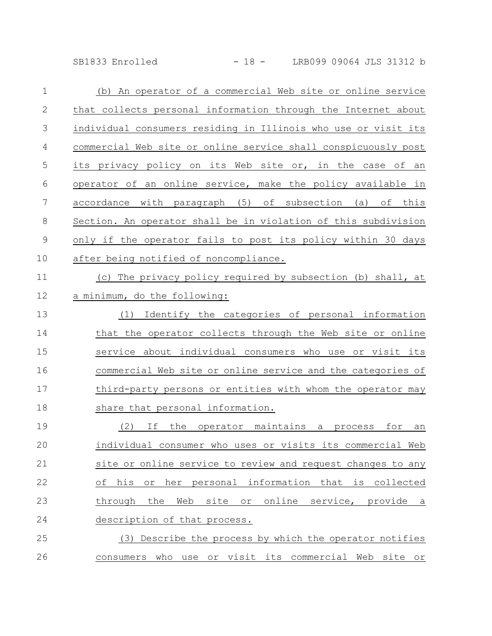SB1833 Enrolled - 18 - LRB099 09064 JLS 31312 b

| $\mathbf 1$    | (b) An operator of a commercial Web site or online service     |
|----------------|----------------------------------------------------------------|
| $\mathbf{2}$   | that collects personal information through the Internet about  |
| 3              | individual consumers residing in Illinois who use or visit its |
| $\overline{4}$ | commercial Web site or online service shall conspicuously post |
| 5              | its privacy policy on its Web site or, in the case of an       |
| 6              | operator of an online service, make the policy available in    |
| 7              | accordance with paragraph (5) of subsection (a) of this        |
| $\,8\,$        | Section. An operator shall be in violation of this subdivision |
| $\mathcal{G}$  | only if the operator fails to post its policy within 30 days   |
| 10             | after being notified of noncompliance.                         |
| 11             | (c) The privacy policy required by subsection (b) shall, at    |
| 12             | a minimum, do the following:                                   |
| 13             | Identify the categories of personal information<br>(1)         |
| 14             | that the operator collects through the Web site or online      |
| 15             | service about individual consumers who use or visit its        |
| 16             | commercial Web site or online service and the categories of    |
| 17             | third-party persons or entities with whom the operator may     |
| 18             | share that personal information.                               |
| 19             | the operator maintains a<br>(2)<br>If<br>for<br>process<br>an  |
| 20             | individual consumer who uses or visits its commercial Web      |
| 21             | site or online service to review and request changes to any    |
| 22             | of his or her personal information that is collected           |
| 23             | site or online service, provide a<br>through the Web           |
| 24             | description of that process.                                   |
| 25             | (3) Describe the process by which the operator notifies        |
| 26             | consumers who use or visit its commercial Web site or          |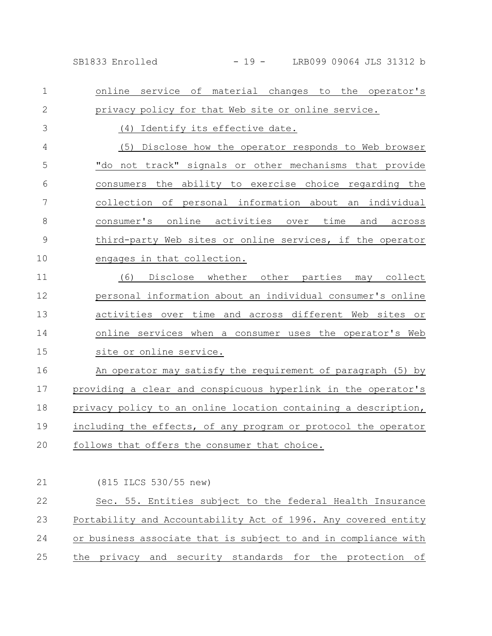SB1833 Enrolled - 19 - LRB099 09064 JLS 31312 b

online service of material changes to the operator's privacy policy for that Web site or online service. (4) Identify its effective date. (5) Disclose how the operator responds to Web browser "do not track" signals or other mechanisms that provide consumers the ability to exercise choice regarding the collection of personal information about an individual consumer's online activities over time and across third-party Web sites or online services, if the operator engages in that collection. (6) Disclose whether other parties may collect personal information about an individual consumer's online activities over time and across different Web sites or online services when a consumer uses the operator's Web site or online service. An operator may satisfy the requirement of paragraph (5) by providing a clear and conspicuous hyperlink in the operator's privacy policy to an online location containing a description, including the effects, of any program or protocol the operator follows that offers the consumer that choice. (815 ILCS 530/55 new) Sec. 55. Entities subject to the federal Health Insurance Portability and Accountability Act of 1996. Any covered entity or business associate that is subject to and in compliance with the privacy and security standards for the protection of 1 2 3 4 5 6 7 8 9 10 11 12 13 14 15 16 17 18 19 20 21 22 23 24 25